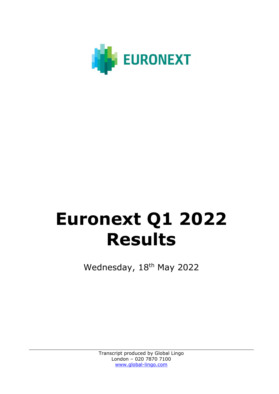

# **Euronext Q1 2022 Results**

Wednesday, 18<sup>th</sup> May 2022

Transcript produced by Global Lingo London – 020 7870 7100 [www.global-lingo.com](http://www.global-lingo.com/)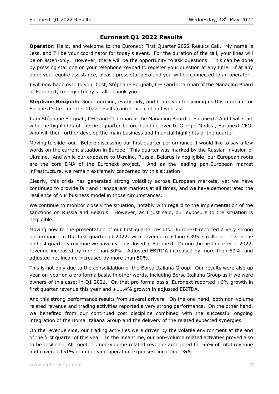## **Euronext Q1 2022 Results**

**Operator:** Hello, and welcome to the Euronext First Quarter 2022 Results Call. My name is Jess, and I'll be your coordinator for today's event. For the duration of the call, your lines will be on listen-only. However, there will be the opportunity to ask questions. This can be done by pressing star one on your telephone keypad to register your question at any time. If at any point you require assistance, please press star zero and you will be connected to an operator.

I will now hand over to your host, Stéphane Boujnah, CEO and Chairman of the Managing Board of Euronext, to begin today's call. Thank you.

**Stéphane Boujnah:** Good morning, everybody, and thank you for joining us this morning for Euronext's first quarter 2022 results conference call and webcast.

I am Stéphane Boujnah, CEO and Chairman of the Managing Board of Euronext. And I will start with the highlights of the first quarter before handing over to Giorgio Modica, Euronext CFO, who will then further develop the main business and financial highlights of the quarter.

Moving to slide four. Before discussing our first quarter performance, I would like to say a few words on the current situation in Europe. This quarter was marked by the Russian invasion of Ukraine. And while our exposure to Ukraine, Russia, Belarus is negligible, our European roots are the core DNA of the Euronext project. And as the leading pan-European market infrastructure, we remain extremely concerned by this situation.

Clearly, this crisis has generated strong volatility across European markets, yet we have continued to provide fair and transparent markets at all times, and we have demonstrated the resilience of our business model in those circumstances.

We continue to monitor closely the situation, notably with regard to the implementation of the sanctions on Russia and Belarus. However, as I just said, our exposure to the situation is negligible.

Moving now to the presentation of our first quarter results. Euronext reported a very strong performance in the first quarter of 2022, with revenue reaching €395.7 million. This is the highest quarterly revenue we have ever disclosed at Euronext. During the first quarter of 2022, revenue increased by more than 50%. Adjusted EBITDA increased by more than 50%, and adjusted net income increased by more than 50%.

This is not only due to the consolidation of the Borsa Italiana Group. Our results were also up year-on-year on a pro forma basis, in other words, including Borsa Italiana Group as if we were owners of this asset in Q1 2021. On that pro forma basis, Euronext reported +6% growth in first quarter revenue this year and +11.4% growth in adjusted EBITDA.

And this strong performance results from several drivers. On the one hand, both non-volume related revenue and trading activities reported a very strong performance. On the other hand, we benefited from our continued cost discipline combined with the successful ongoing integration of the Borsa Italiana Group and the delivery of the related expected synergies.

On the revenue side, our trading activities were driven by the volatile environment at the end of the first quarter of this year. In the meantime, our non-volume related activities proved also to be resilient. All together, non-volume related revenue accounted for 55% of total revenue and covered 151% of underlying operating expenses, including D&A.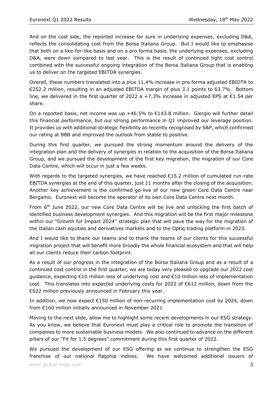And on the cost side, the reported increase for sure in underlying expenses, excluding D&A, reflects the consolidating cost from the Borsa Italiana Group. But I would like to emphasise that both on a like-for-like basis and on a pro forma basis, the underlying expenses, excluding D&A, were down compared to last year. This is the result of continued tight cost control combined with the successful ongoing integration of the Borsa Italiana Group that is enabling us to deliver on the targeted EBITDA synergies.

Overall, these numbers translated into a plus 11.4% increase in pro forma adjusted EBIDTA to €252.2 million, resulting in an adjusted EBITDA margin of plus 3.1 points to 63.7%. Bottom line, we delivered in the first quarter of 2022 a +7.3% increase in adjusted EPS at €1.54 per share.

On a reported basis, net income was up +46.5% to  $\epsilon$ 143.8 million. Giorgio will further detail this financial performance, but our strong performance in Q1 improved our leverage position. It provides us with additional strategic flexibility as recently recognised by S&P, which confirmed our rating at BBB and improved the outlook from stable to positive.

During this first quarter, we pursued the strong momentum around the delivery of the integration plan and the delivery of synergies in relation to the acquisition of the Borsa Italiana Group, and we pursued the development of the first key migration, the migration of our Core Data Centre, which will occur in just a few weeks.

With regards to the targeted synergies, we have reached €15.2 million of cumulated run-rate EBITDA synergies at the end of this quarter, just 11 months after the closing of the acquisition. Another key achievement is the confirmed go-live of our new green Core Data Centre near Bergamo. Euronext will become the operator of its own Core Data Centre next month.

From 6<sup>th</sup> June 2022, our new Core Data Centre will be live and unlocking the first batch of identified business development synergies. And this migration will be the first major milestone within our "Growth for Impact 2024" strategic plan that will pave the way for the migration of the Italian cash equities and derivatives markets and to the Optiq trading platform in 2023.

And I would like to thank our teams and to thank the teams of our clients for this successful migration project that will benefit more broadly the whole financial ecosystem and that will help all our clients reduce their carbon footprint.

As a result of our progress in the integration of the Borsa Italiana Group and as a result of a continued cost control in the first quarter, we are today very pleased to upgrade our 2022 cost guidance, expecting €10 million less of underlying cost and €10 million less of implementation cost. This translates into expected underlying costs for 2022 of €612 million, down from the €622 million previously announced in February this year.

In addition, we now expect €150 million of non-recurring implementation cost by 2024, down from €160 million initially announced in November 2021.

Moving to the next slide, allow me to highlight some recent developments in our ESG strategy. As you know, we believe that Euronext must play a critical role to promote the transition of companies to more sustainable business models. We also continued to advance on the different pillars of our "Fit for 1.5 degrees" commitment during this first quarter of 2022.

We pursued the development of our ESG offering as we continue to strengthen the ESG franchise of our national flagship indices. We have welcomed additional issuers of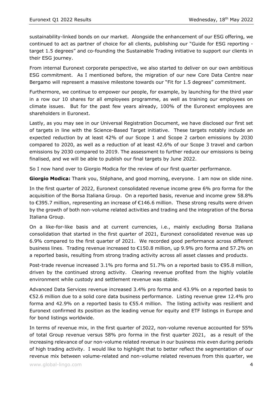sustainability-linked bonds on our market. Alongside the enhancement of our ESG offering, we continued to act as partner of choice for all clients, publishing our "Guide for ESG reporting target 1.5 degrees" and co-founding the Sustainable Trading initiative to support our clients in their ESG journey.

From internal Euronext corporate perspective, we also started to deliver on our own ambitious ESG commitment. As I mentioned before, the migration of our new Core Data Centre near Bergamo will represent a massive milestone towards our "Fit for 1.5 degrees" commitment.

Furthermore, we continue to empower our people, for example, by launching for the third year in a row our 10 shares for all employees programme, as well as training our employees on climate issues. But for the past few years already, 100% of the Euronext employees are shareholders in Euronext.

Lastly, as you may see in our Universal Registration Document, we have disclosed our first set of targets in line with the Science-Based Target initiative. These targets notably include an expected reduction by at least 42% of our Scope 1 and Scope 2 carbon emissions by 2030 compared to 2020, as well as a reduction of at least 42.6% of our Scope 3 travel and carbon emissions by 2030 compared to 2019. The assessment to further reduce our emissions is being finalised, and we will be able to publish our final targets by June 2022.

So I now hand over to Giorgio Modica for the review of our first quarter performance.

**Giorgio Modica:** Thank you, Stéphane, and good morning, everyone. I am now on slide nine.

In the first quarter of 2022, Euronext consolidated revenue income grew 6% pro forma for the acquisition of the Borsa Italiana Group. On a reported basis, revenue and income grew 58.8% to €395.7 million, representing an increase of €146.6 million. These strong results were driven by the growth of both non-volume related activities and trading and the integration of the Borsa Italiana Group.

On a like-for-like basis and at current currencies, i.e., mainly excluding Borsa Italiana consolidation that started in the first quarter of 2021, Euronext consolidated revenue was up 6.9% compared to the first quarter of 2021. We recorded good performance across different business lines. Trading revenue increased to €150.8 million, up 9.9% pro forma and 57.2% on a reported basis, resulting from strong trading activity across all asset classes and products.

Post-trade revenue increased 3.1% pro forma and 51.7% on a reported basis to €95.8 million, driven by the continued strong activity. Clearing revenue profited from the highly volatile environment while custody and settlement revenue was stable.

Advanced Data Services revenue increased 3.4% pro forma and 43.9% on a reported basis to €52.6 million due to a solid core data business performance. Listing revenue grew 12.4% pro forma and 42.9% on a reported basis to €55.4 million. The listing activity was resilient and Euronext confirmed its position as the leading venue for equity and ETF listings in Europe and for bond listings worldwide.

In terms of revenue mix, in the first quarter of 2022, non-volume revenue accounted for 55% of total Group revenue versus 58% pro forma in the first quarter 2021, as a result of the increasing relevance of our non-volume related revenue in our business mix even during periods of high trading activity. I would like to highlight that to better reflect the segmentation of our revenue mix between volume-related and non-volume related revenues from this quarter, we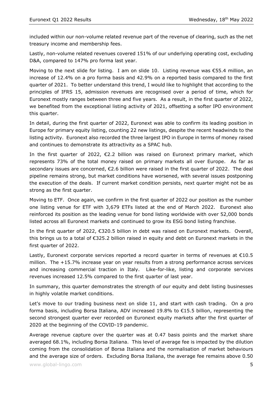included within our non-volume related revenue part of the revenue of clearing, such as the net treasury income and membership fees.

Lastly, non-volume related revenues covered 151% of our underlying operating cost, excluding D&A, compared to 147% pro forma last year.

Moving to the next slide for listing. I am on slide 10. Listing revenue was €55.4 million, an increase of 12.4% on a pro forma basis and 42.9% on a reported basis compared to the first quarter of 2021. To better understand this trend, I would like to highlight that according to the principles of IFRS 15, admission revenues are recognised over a period of time, which for Euronext mostly ranges between three and five years. As a result, in the first quarter of 2022, we benefited from the exceptional listing activity of 2021, offsetting a softer IPO environment this quarter.

In detail, during the first quarter of 2022, Euronext was able to confirm its leading position in Europe for primary equity listing, counting 22 new listings, despite the recent headwinds to the listing activity. Euronext also recorded the three largest IPO in Europe in terms of money raised and continues to demonstrate its attractivity as a SPAC hub.

In the first quarter of 2022,  $\epsilon$ 2.2 billion was raised on Euronext primary market, which represents 73% of the total money raised on primary markets all over Europe. As far as secondary issues are concerned, €2.6 billion were raised in the first quarter of 2022. The deal pipeline remains strong, but market conditions have worsened, with several issues postponing the execution of the deals. If current market condition persists, next quarter might not be as strong as the first quarter.

Moving to ETF. Once again, we confirm in the first quarter of 2022 our position as the number one listing venue for ETF with 3,679 ETFs listed at the end of March 2022. Euronext also reinforced its position as the leading venue for bond listing worldwide with over 52,000 bonds listed across all Euronext markets and continued to grow its ESG bond listing franchise.

In the first quarter of 2022, €320.5 billion in debt was raised on Euronext markets. Overall, this brings us to a total of €325.2 billion raised in equity and debt on Euronext markets in the first quarter of 2022.

Lastly, Euronext corporate services reported a record quarter in terms of revenues at €10.5 million. The +15.7% increase year on year results from a strong performance across services and increasing commercial traction in Italy. Like-for-like, listing and corporate services revenues increased 12.5% compared to the first quarter of last year.

In summary, this quarter demonstrates the strength of our equity and debt listing businesses in highly volatile market conditions.

Let's move to our trading business next on slide 11, and start with cash trading. On a pro forma basis, including Borsa Italiana, ADV increased 19.8% to €15.5 billion, representing the second strongest quarter ever recorded on Euronext equity markets after the first quarter of 2020 at the beginning of the COVID-19 pandemic.

Average revenue capture over the quarter was at 0.47 basis points and the market share averaged 68.1%, including Borsa Italiana. This level of average fee is impacted by the dilution coming from the consolidation of Borsa Italiana and the normalisation of market behaviours and the average size of orders. Excluding Borsa Italiana, the average fee remains above 0.50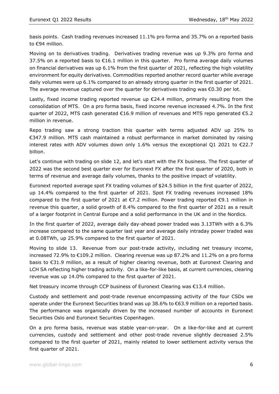basis points. Cash trading revenues increased 11.1% pro forma and 35.7% on a reported basis to €94 million.

Moving on to derivatives trading. Derivatives trading revenue was up 9.3% pro forma and 37.5% on a reported basis to  $\epsilon$ 16.1 million in this quarter. Pro forma average daily volumes on financial derivatives was up 6.1% from the first quarter of 2021, reflecting the high volatility environment for equity derivatives. Commodities reported another record quarter while average daily volumes were up 6.1% compared to an already strong quarter in the first quarter of 2021. The average revenue captured over the quarter for derivatives trading was  $€0.30$  per lot.

Lastly, fixed income trading reported revenue up  $\epsilon$ 24.4 million, primarily resulting from the consolidation of MTS. On a pro forma basis, fixed income revenue increased 4.7%. In the first quarter of 2022, MTS cash generated  $\epsilon$ 16.9 million of revenues and MTS repo generated  $\epsilon$ 5.2 million in revenue.

Repo trading saw a strong traction this quarter with terms adjusted ADV up 25% to €347.9 million. MTS cash maintained a robust performance in market dominated by raising interest rates with ADV volumes down only 1.6% versus the exceptional Q1 2021 to  $\epsilon$ 22.7 billion.

Let's continue with trading on slide 12, and let's start with the FX business. The first quarter of 2022 was the second best quarter ever for Euronext FX after the first quarter of 2020, both in terms of revenue and average daily volumes, thanks to the positive impact of volatility.

Euronext reported average spot FX trading volumes of \$24.5 billion in the first quarter of 2022, up 14.4% compared to the first quarter of 2021. Spot FX trading revenues increased 18% compared to the first quarter of 2021 at  $\epsilon$ 7.2 million. Power trading reported  $\epsilon$ 9.1 million in revenue this quarter, a solid growth of 8.4% compared to the first quarter of 2021 as a result of a larger footprint in Central Europe and a solid performance in the UK and in the Nordics.

In the first quarter of 2022, average daily day-ahead power traded was 3.13TWh with a 6.3% increase compared to the same quarter last year and average daily intraday power traded was at 0.08TWh, up 25.9% compared to the first quarter of 2021.

Moving to slide 13. Revenue from our post-trade activity, including net treasury income, increased 72.9% to  $\epsilon$ 109.2 million. Clearing revenue was up 87.2% and 11.2% on a pro forma basis to €31.9 million, as a result of higher clearing revenue, both at Euronext Clearing and LCH SA reflecting higher trading activity. On a like-for-like basis, at current currencies, clearing revenue was up 14.0% compared to the first quarter of 2021.

Net treasury income through CCP business of Euronext Clearing was €13.4 million.

Custody and settlement and post-trade revenue encompassing activity of the four CSDs we operate under the Euronext Securities brand was up 38.6% to €63.9 million on a reported basis. The performance was organically driven by the increased number of accounts in Euronext Securities Oslo and Euronext Securities Copenhagen.

On a pro forma basis, revenue was stable year-on-year. On a like-for-like and at current currencies, custody and settlement and other post-trade revenue slightly decreased 2.5% compared to the first quarter of 2021, mainly related to lower settlement activity versus the first quarter of 2021.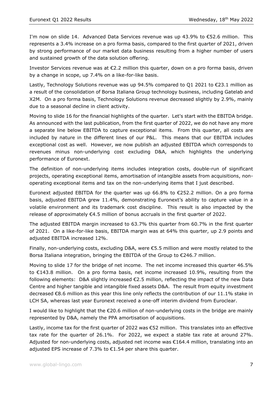I'm now on slide 14. Advanced Data Services revenue was up 43.9% to €52.6 million. This represents a 3.4% increase on a pro forma basis, compared to the first quarter of 2021, driven by strong performance of our market data business resulting from a higher number of users and sustained growth of the data solution offering.

Investor Services revenue was at  $\epsilon$ 2.2 million this quarter, down on a pro forma basis, driven by a change in scope, up 7.4% on a like-for-like basis.

Lastly, Technology Solutions revenue was up  $94.5\%$  compared to 01 2021 to  $\epsilon$ 23.1 million as a result of the consolidation of Borsa Italiana Group technology business, including Gatelab and X2M. On a pro forma basis, Technology Solutions revenue decreased slightly by 2.9%, mainly due to a seasonal decline in client activity.

Moving to slide 16 for the financial highlights of the quarter. Let's start with the EBITDA bridge. As announced with the last publication, from the first quarter of 2022, we do not have any more a separate line below EBITDA to capture exceptional items. From this quarter, all costs are included by nature in the different lines of our P&L. This means that our EBITDA includes exceptional cost as well. However, we now publish an adjusted EBITDA which corresponds to revenues minus non-underlying cost excluding D&A, which highlights the underlying performance of Euronext.

The definition of non-underlying items includes integration costs, double-run of significant projects, operating exceptional items, amortisation of intangible assets from acquisitions, nonoperating exceptional items and tax on the non-underlying items that I just described.

Euronext adjusted EBITDA for the quarter was up 66.8% to  $\epsilon$ 252.2 million. On a pro forma basis, adjusted EBITDA grew 11.4%, demonstrating Euronext's ability to capture value in a volatile environment and its trademark cost discipline. This result is also impacted by the release of approximately  $\epsilon$ 4.5 million of bonus accruals in the first quarter of 2022.

The adjusted EBITDA margin increased to 63.7% this quarter from 60.7% in the first quarter of 2021. On a like-for-like basis, EBITDA margin was at 64% this quarter, up 2.9 points and adjusted EBITDA increased 12%.

Finally, non-underlying costs, excluding D&A, were €5.5 million and were mostly related to the Borsa Italiana integration, bringing the EBITDA of the Group to €246.7 million.

Moving to slide 17 for the bridge of net income. The net income increased this quarter 46.5% to €143.8 million. On a pro forma basis, net income increased 10.9%, resulting from the following elements: D&A slightly increased  $\epsilon$ 2.5 million, reflecting the impact of the new Data Centre and higher tangible and intangible fixed assets D&A. The result from equity investment decreased €8.6 million as this year this line only reflects the contribution of our 11.1% stake in LCH SA, whereas last year Euronext received a one-off interim dividend from Euroclear.

I would like to highlight that the €20.6 million of non-underlying costs in the bridge are mainly represented by D&A, namely the PPA amortisation of acquisitions.

Lastly, income tax for the first quarter of 2022 was €52 million. This translates into an effective tax rate for the quarter of 26.1%. For 2022, we expect a stable tax rate at around 27%. Adjusted for non-underlying costs, adjusted net income was €164.4 million, translating into an adjusted EPS increase of 7.3% to €1.54 per share this quarter.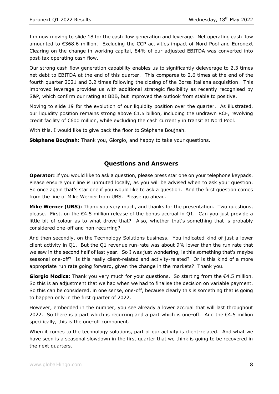I'm now moving to slide 18 for the cash flow generation and leverage. Net operating cash flow amounted to €368.6 million. Excluding the CCP activities impact of Nord Pool and Euronext Clearing on the change in working capital, 84% of our adjusted EBITDA was converted into post-tax operating cash flow.

Our strong cash flow generation capability enables us to significantly deleverage to 2.3 times net debt to EBITDA at the end of this quarter. This compares to 2.6 times at the end of the fourth quarter 2021 and 3.2 times following the closing of the Borsa Italiana acquisition. This improved leverage provides us with additional strategic flexibility as recently recognised by S&P, which confirm our rating at BBB, but improved the outlook from stable to positive.

Moving to slide 19 for the evolution of our liquidity position over the quarter. As illustrated, our liquidity position remains strong above  $\epsilon$ 1.5 billion, including the undrawn RCF, revolving credit facility of €600 million, while excluding the cash currently in transit at Nord Pool.

With this, I would like to give back the floor to Stéphane Boujnah.

**Stéphane Boujnah:** Thank you, Giorgio, and happy to take your questions.

## **Questions and Answers**

**Operator:** If you would like to ask a question, please press star one on your telephone keypads. Please ensure your line is unmuted locally, as you will be advised when to ask your question. So once again that's star one if you would like to ask a question. And the first question comes from the line of Mike Werner from UBS. Please go ahead.

**Mike Werner (UBS):** Thank you very much, and thanks for the presentation. Two questions, please. First, on the  $\epsilon$ 4.5 million release of the bonus accrual in Q1. Can you just provide a little bit of colour as to what drove that? Also, whether that's something that is probably considered one-off and non-recurring?

And then secondly, on the Technology Solutions business. You indicated kind of just a lower client activity in Q1. But the Q1 revenue run-rate was about 9% lower than the run rate that we saw in the second half of last year. So I was just wondering, is this something that's maybe seasonal one-off? Is this really client-related and activity-related? Or is this kind of a more appropriate run rate going forward, given the change in the markets? Thank you.

**Giorgio Modica:** Thank you very much for your questions. So starting from the €4.5 million. So this is an adjustment that we had when we had to finalise the decision on variable payment. So this can be considered, in one sense, one-off, because clearly this is something that is going to happen only in the first quarter of 2022.

However, embedded in the number, you see already a lower accrual that will last throughout 2022. So there is a part which is recurring and a part which is one-off. And the  $\epsilon$ 4.5 million specifically, this is the one-off component.

When it comes to the technology solutions, part of our activity is client-related. And what we have seen is a seasonal slowdown in the first quarter that we think is going to be recovered in the next quarters.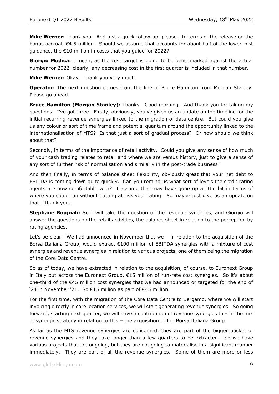**Mike Werner:** Thank you. And just a quick follow-up, please. In terms of the release on the bonus accrual, €4.5 million. Should we assume that accounts for about half of the lower cost guidance, the €10 million in costs that you guide for 2022?

**Giorgio Modica:** I mean, as the cost target is going to be benchmarked against the actual number for 2022, clearly, any decreasing cost in the first quarter is included in that number.

**Mike Werner:** Okay. Thank you very much.

**Operator:** The next question comes from the line of Bruce Hamilton from Morgan Stanley. Please go ahead.

**Bruce Hamilton (Morgan Stanley):** Thanks. Good morning. And thank you for taking my questions. I've got three. Firstly, obviously, you've given us an update on the timeline for the initial recurring revenue synergies linked to the migration of data centre. But could you give us any colour or sort of time frame and potential quantum around the opportunity linked to the internationalisation of MTS? Is that just a sort of gradual process? Or how should we think about that?

Secondly, in terms of the importance of retail activity. Could you give any sense of how much of your cash trading relates to retail and where we are versus history, just to give a sense of any sort of further risk of normalisation and similarly in the post-trade business?

And then finally, in terms of balance sheet flexibility, obviously great that your net debt to EBITDA is coming down quite quickly. Can you remind us what sort of levels the credit rating agents are now comfortable with? I assume that may have gone up a little bit in terms of where you could run without putting at risk your rating. So maybe just give us an update on that. Thank you.

**Stéphane Boujnah:** So I will take the question of the revenue synergies, and Giorgio will answer the questions on the retail activities, the balance sheet in relation to the perception by rating agencies.

Let's be clear. We had announced in November that we – in relation to the acquisition of the Borsa Italiana Group, would extract €100 million of EBITDA synergies with a mixture of cost synergies and revenue synergies in relation to various projects, one of them being the migration of the Core Data Centre.

So as of today, we have extracted in relation to the acquisition, of course, to Euronext Group in Italy but across the Euronext Group, €15 million of run-rate cost synergies. So it's about one-third of the €45 million cost synergies that we had announced or targeted for the end of '24 in November '21. So €15 million as part of €45 million.

For the first time, with the migration of the Core Data Centre to Bergamo, where we will start invoicing directly in core location services, we will start generating revenue synergies. So going forward, starting next quarter, we will have a contribution of revenue synergies to – in the mix of synergic strategy in relation to this – the acquisition of the Borsa Italiana Group.

As far as the MTS revenue synergies are concerned, they are part of the bigger bucket of revenue synergies and they take longer than a few quarters to be extracted. So we have various projects that are ongoing, but they are not going to materialise in a significant manner immediately. They are part of all the revenue synergies. Some of them are more or less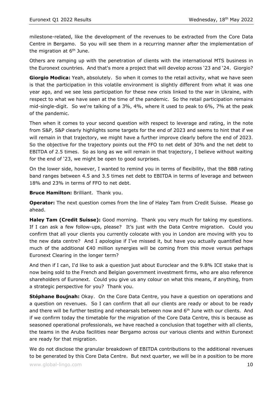milestone-related, like the development of the revenues to be extracted from the Core Data Centre in Bergamo. So you will see them in a recurring manner after the implementation of the migration at  $6<sup>th</sup>$  June.

Others are ramping up with the penetration of clients with the international MTS business in the Euronext countries. And that's more a project that will develop across '23 and '24. Giorgio?

**Giorgio Modica:** Yeah, absolutely. So when it comes to the retail activity, what we have seen is that the participation in this volatile environment is slightly different from what it was one year ago, and we see less participation for these new crisis linked to the war in Ukraine, with respect to what we have seen at the time of the pandemic. So the retail participation remains mid-single-digit. So we're talking of a 3%, 4%, where it used to peak to 6%, 7% at the peak of the pandemic.

Then when it comes to your second question with respect to leverage and rating, in the note from S&P, S&P clearly highlights some targets for the end of 2023 and seems to hint that if we will remain in that trajectory, we might have a further improve clearly before the end of 2023. So the objective for the trajectory points out the FFO to net debt of 30% and the net debt to EBITDA of 2.5 times. So as long as we will remain in that trajectory, I believe without waiting for the end of '23, we might be open to good surprises.

On the lower side, however, I wanted to remind you in terms of flexibility, that the BBB rating band ranges between 4.5 and 3.5 times net debt to EBITDA in terms of leverage and between 18% and 23% in terms of FFO to net debt.

**Bruce Hamilton:** Brilliant. Thank you.

**Operator:** The next question comes from the line of Haley Tam from Credit Suisse. Please go ahead.

**Haley Tam (Credit Suisse):** Good morning. Thank you very much for taking my questions. If I can ask a few follow-ups, please? It's just with the Data Centre migration. Could you confirm that all your clients you currently colocate with you in London are moving with you to the new data centre? And I apologise if I've missed it, but have you actually quantified how much of the additional €40 million synergies will be coming from this move versus perhaps Euronext Clearing in the longer term?

And then if I can, I'd like to ask a question just about Euroclear and the 9.8% ICE stake that is now being sold to the French and Belgian government investment firms, who are also reference shareholders of Euronext. Could you give us any colour on what this means, if anything, from a strategic perspective for you? Thank you.

**Stéphane Boujnah:** Okay. On the Core Data Centre, you have a question on operations and a question on revenues. So I can confirm that all our clients are ready or about to be ready and there will be further testing and rehearsals between now and 6<sup>th</sup> June with our clients. And if we confirm today the timetable for the migration of the Core Data Centre, this is because as seasoned operational professionals, we have reached a conclusion that together with all clients, the teams in the Aruba facilities near Bergamo across our various clients and within Euronext are ready for that migration.

We do not disclose the granular breakdown of EBITDA contributions to the additional revenues to be generated by this Core Data Centre. But next quarter, we will be in a position to be more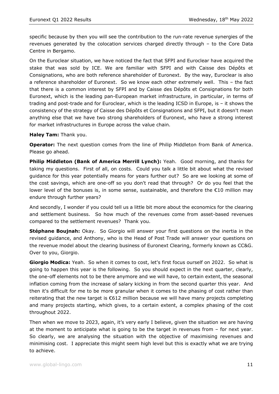specific because by then you will see the contribution to the run-rate revenue synergies of the revenues generated by the colocation services charged directly through – to the Core Data Centre in Bergamo.

On the Euroclear situation, we have noticed the fact that SFPI and Euroclear have acquired the stake that was sold by ICE. We are familiar with SFPI and with Caisse des Dépôts et Consignations, who are both reference shareholder of Euronext. By the way, Euroclear is also a reference shareholder of Euronext. So we know each other extremely well. This – the fact that there is a common interest by SFPI and by Caisse des Dépôts et Consignations for both Euronext, which is the leading pan-European market infrastructure, in particular, in terms of trading and post-trade and for Euroclear, which is the leading ICSD in Europe, is – it shows the consistency of the strategy of Caisse des Dépôts et Consignations and SFPI, but it doesn't mean anything else that we have two strong shareholders of Euronext, who have a strong interest for market infrastructures in Europe across the value chain.

#### **Haley Tam:** Thank you.

**Operator:** The next question comes from the line of Philip Middleton from Bank of America. Please go ahead.

**Philip Middleton (Bank of America Merrill Lynch):** Yeah. Good morning, and thanks for taking my questions. First of all, on costs. Could you talk a little bit about what the revised guidance for this year potentially means for years further out? So are we looking at some of the cost savings, which are one-off so you don't read that through? Or do you feel that the lower level of the bonuses is, in some sense, sustainable, and therefore the €10 million may endure through further years?

And secondly, I wonder if you could tell us a little bit more about the economics for the clearing and settlement business. So how much of the revenues come from asset-based revenues compared to the settlement revenues? Thank you.

**Stéphane Boujnah:** Okay. So Giorgio will answer your first questions on the inertia in the revised guidance, and Anthony, who is the Head of Post Trade will answer your questions on the revenue model about the clearing business of Euronext Clearing, formerly known as CC&G. Over to you, Giorgio.

**Giorgio Modica:** Yeah. So when it comes to cost, let's first focus ourself on 2022. So what is going to happen this year is the following. So you should expect in the next quarter, clearly, the one-off elements not to be there anymore and we will have, to certain extent, the seasonal inflation coming from the increase of salary kicking in from the second quarter this year. And then it's difficult for me to be more granular when it comes to the phasing of cost rather than reiterating that the new target is €612 million because we will have many projects completing and many projects starting, which gives, to a certain extent, a complex phasing of the cost throughout 2022.

Then when we move to 2023, again, it's very early I believe, given the situation we are having at the moment to anticipate what is going to be the target in revenues from – for next year. So clearly, we are analysing the situation with the objective of maximising revenues and minimising cost. I appreciate this might seem high level but this is exactly what we are trying to achieve.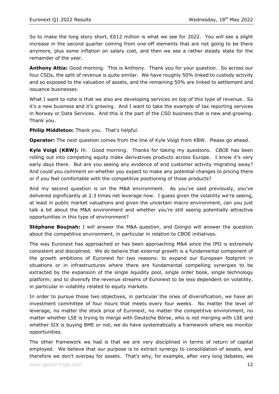So to make the long story short, €612 million is what we see for 2022. You will see a slight increase in the second quarter coming from one-off elements that are not going to be there anymore, plus some inflation on salary cost, and then we see a rather steady state for the remainder of the year.

**Anthony Attia:** Good morning. This is Anthony. Thank you for your question. So across our four CSDs, the split of revenue is quite similar. We have roughly 50% linked to custody activity and so exposed to the valuation of assets, and the remaining 50% are linked to settlement and issuance businesses.

What I want to note is that we also are developing services on top of this type of revenue. So it's a new business and it's growing. And I want to take the example of tax reporting services in Norway or Data Services. And this is the part of the CSD business that is new and growing. Thank you.

**Philip Middleton:** Thank you. That's helpful.

**Operator:** The next question comes from the line of Kyle Voigt from KBW. Please go ahead.

**Kyle Voigt (KBW):** Hi. Good morning. Thanks for taking my questions. CBOE has been rolling out into competing equity index derivatives products across Europe. I know it's very early days there. But are you seeing any evidence of end customer activity migrating away? And could you comment on whether you expect to make any potential changes to pricing there or if you feel comfortable with the competitive positioning of those products?

And my second question is on the M&A environment. As you've said previously, you've delivered significantly at 2.3 times net leverage now. I guess given the volatility we're seeing, at least in public market valuations and given the uncertain macro environment, can you just talk a bit about the M&A environment and whether you're still seeing potentially attractive opportunities in this type of environment?

**Stéphane Boujnah:** I will answer the M&A question, and Giorgio will answer the question about the competitive environment, in particular in relation to CBOE initiatives.

The way Euronext has approached or has been approaching M&A since the IPO is extremely consistent and disciplined. We do believe that external growth is a fundamental component of the growth ambitions of Euronext for two reasons: to expand our European footprint in situations or in infrastructures where there are fundamental compelling synergies to be extracted by the expansion of the single liquidity pool, single order book, single technology platform; and to diversify the revenue streams of Euronext to be less dependent on volatility, in particular in volatility related to equity markets.

In order to pursue those two objectives, in particular the ones of diversification, we have an investment committee of four hours that meets every four weeks. No matter the level of leverage, no matter the stock price of Euronext, no matter the competitive environment, no matter whether LSE is trying to merge with Deutsche Börse, who is not merging with LSE and whether SIX is buying BME or not, we do have systematically a framework where we monitor opportunities.

The other framework we had is that we are very disciplined in terms of return of capital employed. We believe that our purpose is to extract synergy to consolidation of assets, and therefore we don't overpay for assets. That's why, for example, after very long debates, we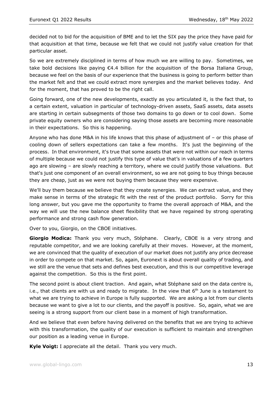decided not to bid for the acquisition of BME and to let the SIX pay the price they have paid for that acquisition at that time, because we felt that we could not justify value creation for that particular asset.

So we are extremely disciplined in terms of how much we are willing to pay. Sometimes, we take bold decisions like paying €4.4 billion for the acquisition of the Borsa Italiana Group, because we feel on the basis of our experience that the business is going to perform better than the market felt and that we could extract more synergies and the market believes today. And for the moment, that has proved to be the right call.

Going forward, one of the new developments, exactly as you articulated it, is the fact that, to a certain extent, valuation in particular of technology-driven assets, SaaS assets, data assets are starting in certain subsegments of those two domains to go down or to cool down. Some private equity owners who are considering saying those assets are becoming more reasonable in their expectations. So this is happening.

Anyone who has done M&A in his life knows that this phase of adjustment of – or this phase of cooling down of sellers expectations can take a few months. It's just the beginning of the process. In that environment, it's true that some assets that were not within our reach in terms of multiple because we could not justify this type of value that's in valuations of a few quarters ago are slowing – are slowly reaching a territory, where we could justify those valuations. But that's just one component of an overall environment, so we are not going to buy things because they are cheap, just as we were not buying them because they were expensive.

We'll buy them because we believe that they create synergies. We can extract value, and they make sense in terms of the strategic fit with the rest of the product portfolio. Sorry for this long answer, but you gave me the opportunity to frame the overall approach of M&A, and the way we will use the new balance sheet flexibility that we have regained by strong operating performance and strong cash flow generation.

Over to you, Giorgio, on the CBOE initiatives.

**Giorgio Modica:** Thank you very much, Stéphane. Clearly, CBOE is a very strong and reputable competitor, and we are looking carefully at their moves. However, at the moment, we are convinced that the quality of execution of our market does not justify any price decrease in order to compete on that market. So, again, Euronext is about overall quality of trading, and we still are the venue that sets and defines best execution, and this is our competitive leverage against the competition. So this is the first point.

The second point is about client traction. And again, what Stéphane said on the data centre is, i.e., that clients are with us and ready to migrate. In the view that  $6<sup>th</sup>$  June is a testament to what we are trying to achieve in Europe is fully supported. We are asking a lot from our clients because we want to give a lot to our clients, and the payoff is positive. So, again, what we are seeing is a strong support from our client base in a moment of high transformation.

And we believe that even before having delivered on the benefits that we are trying to achieve with this transformation, the quality of our execution is sufficient to maintain and strengthen our position as a leading venue in Europe.

**Kyle Voigt:** I appreciate all the detail. Thank you very much.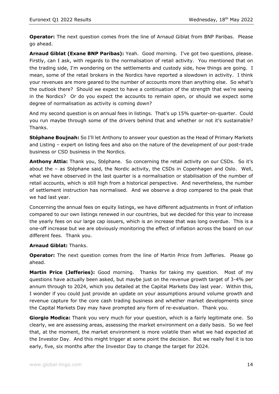**Operator:** The next question comes from the line of Arnaud Giblat from BNP Paribas. Please go ahead.

**Arnaud Giblat (Exane BNP Paribas):** Yeah. Good morning. I've got two questions, please. Firstly, can I ask, with regards to the normalisation of retail activity. You mentioned that on the trading side, I'm wondering on the settlements and custody side, how things are going. I mean, some of the retail brokers in the Nordics have reported a slowdown in activity. I think your revenues are more geared to the number of accounts more than anything else. So what's the outlook there? Should we expect to have a continuation of the strength that we're seeing in the Nordics? Or do you expect the accounts to remain open, or should we expect some degree of normalisation as activity is coming down?

And my second question is on annual fees in listings. That's up 15% quarter-on-quarter. Could you run maybe through some of the drivers behind that and whether or not it's sustainable? Thanks.

**Stéphane Boujnah:** So I'll let Anthony to answer your question as the Head of Primary Markets and Listing – expert on listing fees and also on the nature of the development of our post-trade business or CSD business in the Nordics.

**Anthony Attia:** Thank you, Stéphane. So concerning the retail activity on our CSDs. So it's about the – as Stéphane said, the Nordic activity, the CSDs in Copenhagen and Oslo. Well, what we have observed in the last quarter is a normalisation or stabilisation of the number of retail accounts, which is still high from a historical perspective. And nevertheless, the number of settlement instruction has normalised. And we observe a drop compared to the peak that we had last year.

Concerning the annual fees on equity listings, we have different adjustments in front of inflation compared to our own listings renewed in our countries, but we decided for this year to increase the yearly fees on our large cap issuers, which is an increase that was long overdue. This is a one-off increase but we are obviously monitoring the effect of inflation across the board on our different fees. Thank you.

### **Arnaud Giblat:** Thanks.

**Operator:** The next question comes from the line of Martin Price from Jefferies. Please go ahead.

**Martin Price (Jefferies):** Good morning. Thanks for taking my question. Most of my questions have actually been asked, but maybe just on the revenue growth target of 3-4% per annum through to 2024, which you detailed at the Capital Markets Day last year. Within this, I wonder if you could just provide an update on your assumptions around volume growth and revenue capture for the core cash trading business and whether market developments since the Capital Markets Day may have prompted any form of re-evaluation. Thank you.

**Giorgio Modica:** Thank you very much for your question, which is a fairly legitimate one. So clearly, we are assessing areas, assessing the market environment on a daily basis. So we feel that, at the moment, the market environment is more volatile than what we had expected at the Investor Day. And this might trigger at some point the decision. But we really feel it is too early, five, six months after the Investor Day to change the target for 2024.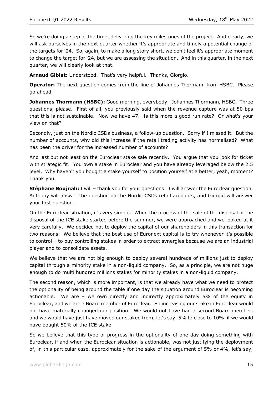So we're doing a step at the time, delivering the key milestones of the project. And clearly, we will ask ourselves in the next quarter whether it's appropriate and timely a potential change of the targets for '24. So, again, to make a long story short, we don't feel it's appropriate moment to change the target for '24, but we are assessing the situation. And in this quarter, in the next quarter, we will clearly look at that.

**Arnaud Giblat:** Understood. That's very helpful. Thanks, Giorgio.

**Operator:** The next question comes from the line of Johannes Thormann from HSBC. Please go ahead.

**Johannes Thormann (HSBC):** Good morning, everybody. Johannes Thormann, HSBC. Three questions, please. First of all, you previously said when the revenue capture was at 50 bps that this is not sustainable. Now we have 47. Is this more a good run rate? Or what's your view on that?

Secondly, just on the Nordic CSDs business, a follow-up question. Sorry if I missed it. But the number of accounts, why did this increase if the retail trading activity has normalised? What has been the driver for the increased number of accounts?

And last but not least on the Euroclear stake sale recently. You argue that you look for ticket with strategic fit. You own a stake in Euroclear and you have already leveraged below the 2.5 level. Why haven't you bought a stake yourself to position yourself at a better, yeah, moment? Thank you.

**Stéphane Boujnah:** I will – thank you for your questions. I will answer the Euroclear question. Anthony will answer the question on the Nordic CSDs retail accounts, and Giorgio will answer your first question.

On the Euroclear situation, it's very simple. When the process of the sale of the disposal of the disposal of the ICE stake started before the summer, we were approached and we looked at it very carefully. We decided not to deploy the capital of our shareholders in this transaction for two reasons. We believe that the best use of Euronext capital is to try whenever it's possible to control – to buy controlling stakes in order to extract synergies because we are an industrial player and to consolidate assets.

We believe that we are not big enough to deploy several hundreds of millions just to deploy capital through a minority stake in a non-liquid company. So, as a principle, we are not huge enough to do multi hundred millions stakes for minority stakes in a non-liquid company.

The second reason, which is more important, is that we already have what we need to protect the optionality of being around the table if one day the situation around Euroclear is becoming actionable. We are – we own directly and indirectly approximately 5% of the equity in Euroclear, and we are a Board member of Euroclear. So increasing our stake in Euroclear would not have materially changed our position. We would not have had a second Board member, and we would have just have moved our staked from, let's say, 5% to close to 10% if we would have bought 50% of the ICE stake.

So we believe that this type of progress in the optionality of one day doing something with Euroclear, if and when the Euroclear situation is actionable, was not justifying the deployment of, in this particular case, approximately for the sake of the argument of 5% or 4%, let's say,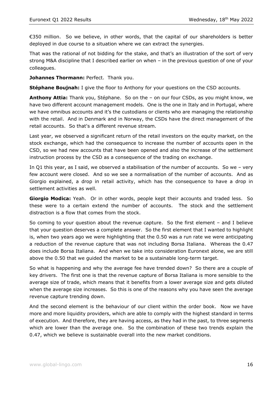€350 million. So we believe, in other words, that the capital of our shareholders is better deployed in due course to a situation where we can extract the synergies.

That was the rational of not bidding for the stake, and that's an illustration of the sort of very strong M&A discipline that I described earlier on when – in the previous question of one of your colleagues.

**Johannes Thormann:** Perfect. Thank you.

**Stéphane Boujnah:** I give the floor to Anthony for your questions on the CSD accounts.

**Anthony Attia:** Thank you, Stéphane. So on the – on our four CSDs, as you might know, we have two different account management models. One is the one in Italy and in Portugal, where we have omnibus accounts and it's the custodians or clients who are managing the relationship with the retail. And in Denmark and in Norway, the CSDs have the direct management of the retail accounts. So that's a different revenue stream.

Last year, we observed a significant return of the retail investors on the equity market, on the stock exchange, which had the consequence to increase the number of accounts open in the CSD, so we had new accounts that have been opened and also the increase of the settlement instruction process by the CSD as a consequence of the trading on exchange.

In Q1 this year, as I said, we observed a stabilisation of the number of accounts. So we – very few account were closed. And so we see a normalisation of the number of accounts. And as Giorgio explained, a drop in retail activity, which has the consequence to have a drop in settlement activities as well.

**Giorgio Modica:** Yeah. Or in other words, people kept their accounts and traded less. So these were to a certain extend the number of accounts. The stock and the settlement distraction is a flow that comes from the stock.

So coming to your question about the revenue capture. So the first element – and I believe that your question deserves a complete answer. So the first element that I wanted to highlight is, when two years ago we were highlighting that the 0.50 was a run rate we were anticipating a reduction of the revenue capture that was not including Borsa Italiana. Whereas the 0.47 does include Borsa Italiana. And when we take into consideration Euronext alone, we are still above the 0.50 that we guided the market to be a sustainable long-term target.

So what is happening and why the average fee have trended down? So there are a couple of key drivers. The first one is that the revenue capture of Borsa Italiana is more sensible to the average size of trade, which means that it benefits from a lower average size and gets diluted when the average size increases. So this is one of the reasons why you have seen the average revenue capture trending down.

And the second element is the behaviour of our client within the order book. Now we have more and more liquidity providers, which are able to comply with the highest standard in terms of execution. And therefore, they are having access, as they had in the past, to three segments which are lower than the average one. So the combination of these two trends explain the 0.47, which we believe is sustainable overall into the new market conditions.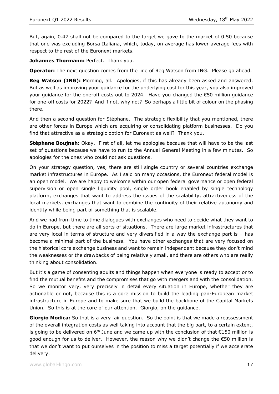But, again, 0.47 shall not be compared to the target we gave to the market of 0.50 because that one was excluding Borsa Italiana, which, today, on average has lower average fees with respect to the rest of the Euronext markets.

**Johannes Thormann:** Perfect. Thank you.

**Operator:** The next question comes from the line of Reg Watson from ING. Please go ahead.

Reg Watson (ING): Morning, all. Apologies, if this has already been asked and answered. But as well as improving your guidance for the underlying cost for this year, you also improved your quidance for the one-off costs out to 2024. Have you changed the  $\epsilon$ 50 million guidance for one-off costs for 2022? And if not, why not? So perhaps a little bit of colour on the phasing there.

And then a second question for Stéphane. The strategic flexibility that you mentioned, there are other forces in Europe which are acquiring or consolidating platform businesses. Do you find that attractive as a strategic option for Euronext as well? Thank you.

**Stéphane Boujnah:** Okay. First of all, let me apologise because that will have to be the last set of questions because we have to run to the Annual General Meeting in a few minutes. So apologies for the ones who could not ask questions.

On your strategy question, yes, there are still single country or several countries exchange market infrastructures in Europe. As I said on many occasions, the Euronext federal model is an open model. We are happy to welcome within our open federal governance or open federal supervision or open single liquidity pool, single order book enabled by single technology platform, exchanges that want to address the issues of the scalability, attractiveness of the local markets, exchanges that want to combine the continuity of their relative autonomy and identity while being part of something that is scalable.

And we had from time to time dialogues with exchanges who need to decide what they want to do in Europe, but there are all sorts of situations. There are large market infrastructures that are very local in terms of structure and very diversified in a way the exchange part is – has become a minimal part of the business. You have other exchanges that are very focused on the historical core exchange business and want to remain independent because they don't mind the weaknesses or the drawbacks of being relatively small, and there are others who are really thinking about consolidation.

But it's a game of consenting adults and things happen when everyone is ready to accept or to find the mutual benefits and the compromises that go with mergers and with the consolidation. So we monitor very, very precisely in detail every situation in Europe, whether they are actionable or not, because this is a core mission to build the leading pan-European market infrastructure in Europe and to make sure that we build the backbone of the Capital Markets Union. So this is at the core of our attention. Giorgio, on the guidance.

**Giorgio Modica:** So that is a very fair question. So the point is that we made a reassessment of the overall integration costs as well taking into account that the big part, to a certain extent, is going to be delivered on 6<sup>th</sup> June and we came up with the conclusion of that  $\epsilon$ 150 million is good enough for us to deliver. However, the reason why we didn't change the €50 million is that we don't want to put ourselves in the position to miss a target potentially if we accelerate delivery.